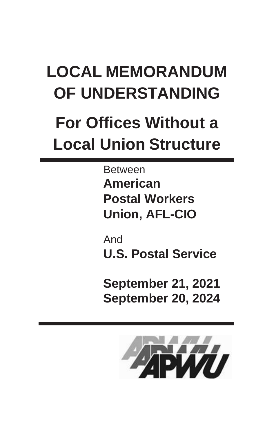# **LOCAL MEMORANDUM OF UNDERSTANDING**

# **For Offices Without a Local Union Structure**

Between **American Postal Workers Union, AFL-CIO**

And **U.S. Postal Service**

**September 21, 2021 September 20, 2024**

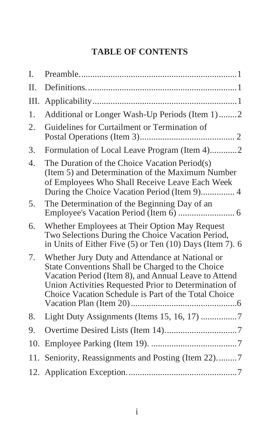# **TABLE OF CONTENTS**

| I.  |                                                                                                                                                                                                                                                                             |
|-----|-----------------------------------------------------------------------------------------------------------------------------------------------------------------------------------------------------------------------------------------------------------------------------|
| Π.  |                                                                                                                                                                                                                                                                             |
| Ш.  |                                                                                                                                                                                                                                                                             |
| 1.  | Additional or Longer Wash-Up Periods (Item 1)2                                                                                                                                                                                                                              |
| 2.  | Guidelines for Curtailment or Termination of                                                                                                                                                                                                                                |
| 3.  | Formulation of Local Leave Program (Item 4)2                                                                                                                                                                                                                                |
| 4.  | The Duration of the Choice Vacation Period(s)<br>(Item 5) and Determination of the Maximum Number<br>of Employees Who Shall Receive Leave Each Week                                                                                                                         |
| 5.  | The Determination of the Beginning Day of an                                                                                                                                                                                                                                |
| 6.  | Whether Employees at Their Option May Request<br>Two Selections During the Choice Vacation Period,<br>in Units of Either Five (5) or Ten (10) Days (Item 7). 6                                                                                                              |
| 7.  | Whether Jury Duty and Attendance at National or<br>State Conventions Shall be Charged to the Choice<br>Vacation Period (Item 8), and Annual Leave to Attend<br>Union Activities Requested Prior to Determination of<br>Choice Vacation Schedule is Part of the Total Choice |
| 8.  | Light Duty Assignments (Items 15, 16, 17) 7                                                                                                                                                                                                                                 |
| 9.  |                                                                                                                                                                                                                                                                             |
| 10. |                                                                                                                                                                                                                                                                             |
|     | 11. Seniority, Reassignments and Posting (Item 22)7                                                                                                                                                                                                                         |
|     |                                                                                                                                                                                                                                                                             |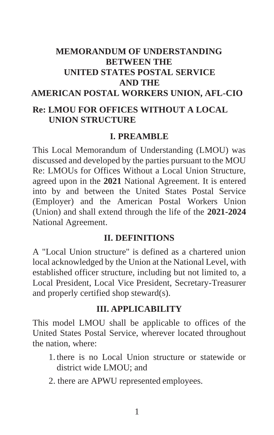# **MEMORANDUM OF UNDERSTANDING BETWEEN THE UNITED STATES POSTAL SERVICE AND THE AMERICAN POSTAL WORKERS UNION, AFL-CIO**

#### **Re: LMOU FOR OFFICES WITHOUT A LOCAL UNION STRUCTURE**

#### **I. PREAMBLE**

This Local Memorandum of Understanding (LMOU) was discussed and developed by the parties pursuant to the MOU Re: LMOUs for Offices Without a Local Union Structure, agreed upon in the **2021** National Agreement. It is entered into by and between the United States Postal Service (Employer) and the American Postal Workers Union (Union) and shall extend through the life of the **2021-2024** National Agreement.

#### **II. DEFINITIONS**

A "Local Union structure" is defined as a chartered union local acknowledged by the Union at the National Level, with established officer structure, including but not limited to, a Local President, Local Vice President, Secretary-Treasurer and properly certified shop steward(s).

#### **III. APPLICABILITY**

This model LMOU shall be applicable to offices of the United States Postal Service, wherever located throughout the nation, where:

- 1. there is no Local Union structure or statewide or district wide LMOU; and
- 2. there are APWU represented employees.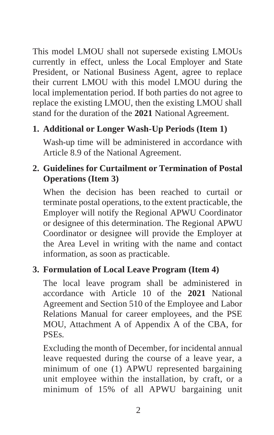This model LMOU shall not supersede existing LMOUs currently in effect, unless the Local Employer and State President, or National Business Agent, agree to replace their current LMOU with this model LMOU during the local implementation period. If both parties do not agree to replace the existing LMOU, then the existing LMOU shall stand for the duration of the **2021** National Agreement.

# **1. Additional or Longer Wash-Up Periods (Item 1)**

Wash-up time will be administered in accordance with Article 8.9 of the National Agreement.

# **2. Guidelines for Curtailment or Termination of Postal Operations (Item 3)**

When the decision has been reached to curtail or terminate postal operations, to the extent practicable, the Employer will notify the Regional APWU Coordinator or designee of this determination. The Regional APWU Coordinator or designee will provide the Employer at the Area Level in writing with the name and contact information, as soon as practicable.

## **3. Formulation of Local Leave Program (Item 4)**

The local leave program shall be administered in accordance with Article 10 of the **2021** National Agreement and Section 510 of the Employee and Labor Relations Manual for career employees, and the PSE MOU, Attachment A of Appendix A of the CBA, for PSEs.

Excluding the month of December, for incidental annual leave requested during the course of a leave year, a minimum of one (1) APWU represented bargaining unit employee within the installation, by craft, or a minimum of 15% of all APWU bargaining unit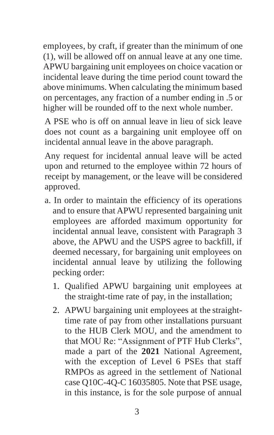employees, by craft, if greater than the minimum of one (1), will be allowed off on annual leave at any one time. APWU bargaining unit employees on choice vacation or incidental leave during the time period count toward the above minimums. When calculating the minimum based on percentages, any fraction of a number ending in .5 or higher will be rounded off to the next whole number.

A PSE who is off on annual leave in lieu of sick leave does not count as a bargaining unit employee off on incidental annual leave in the above paragraph.

Any request for incidental annual leave will be acted upon and returned to the employee within 72 hours of receipt by management, or the leave will be considered approved.

- a. In order to maintain the efficiency of its operations and to ensure that APWU represented bargaining unit employees are afforded maximum opportunity for incidental annual leave, consistent with Paragraph 3 above, the APWU and the USPS agree to backfill, if deemed necessary, for bargaining unit employees on incidental annual leave by utilizing the following pecking order:
	- 1. Qualified APWU bargaining unit employees at the straight-time rate of pay, in the installation;
	- 2. APWU bargaining unit employees at the straighttime rate of pay from other installations pursuant to the HUB Clerk MOU, and the amendment to that MOU Re: "Assignment of PTF Hub Clerks", made a part of the **2021** National Agreement, with the exception of Level 6 PSEs that staff RMPOs as agreed in the settlement of National case Q10C-4Q-C 16035805. Note that PSE usage, in this instance, is for the sole purpose of annual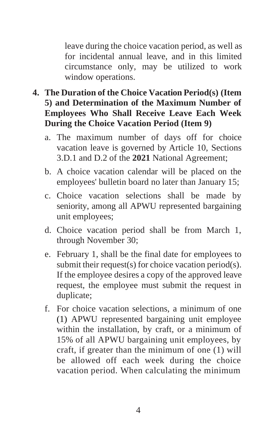leave during the choice vacation period, as well as for incidental annual leave, and in this limited circumstance only, may be utilized to work window operations.

#### **4. The Duration of the Choice Vacation Period(s) (Item 5) and Determination of the Maximum Number of Employees Who Shall Receive Leave Each Week During the Choice Vacation Period (Item 9)**

- a. The maximum number of days off for choice vacation leave is governed by Article 10, Sections 3.D.1 and D.2 of the **2021** National Agreement;
- b. A choice vacation calendar will be placed on the employees' bulletin board no later than January 15;
- c. Choice vacation selections shall be made by seniority, among all APWU represented bargaining unit employees;
- d. Choice vacation period shall be from March 1, through November 30;
- e. February 1, shall be the final date for employees to submit their request(s) for choice vacation period(s). If the employee desires a copy of the approved leave request, the employee must submit the request in duplicate;
- f. For choice vacation selections, a minimum of one (1) APWU represented bargaining unit employee within the installation, by craft, or a minimum of 15% of all APWU bargaining unit employees, by craft, if greater than the minimum of one (1) will be allowed off each week during the choice vacation period. When calculating the minimum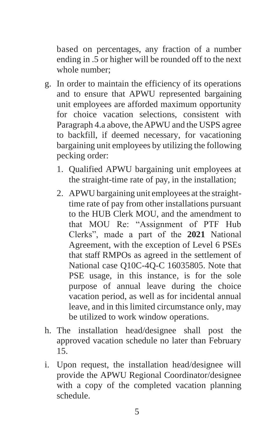based on percentages, any fraction of a number ending in .5 or higher will be rounded off to the next whole number;

- g. In order to maintain the efficiency of its operations and to ensure that APWU represented bargaining unit employees are afforded maximum opportunity for choice vacation selections, consistent with Paragraph 4.a above, theAPWU and the USPS agree to backfill, if deemed necessary, for vacationing bargaining unit employees by utilizing the following pecking order:
	- 1. Qualified APWU bargaining unit employees at the straight-time rate of pay, in the installation;
	- 2. APWU bargaining unit employees at the straighttime rate of pay from other installations pursuant to the HUB Clerk MOU, and the amendment to that MOU Re: "Assignment of PTF Hub Clerks", made a part of the **2021** National Agreement, with the exception of Level 6 PSEs that staff RMPOs as agreed in the settlement of National case Q10C-4Q-C 16035805. Note that PSE usage, in this instance, is for the sole purpose of annual leave during the choice vacation period, as well as for incidental annual leave, and in this limited circumstance only, may be utilized to work window operations.
- h. The installation head/designee shall post the approved vacation schedule no later than February 15.
- i. Upon request, the installation head/designee will provide the APWU Regional Coordinator/designee with a copy of the completed vacation planning schedule.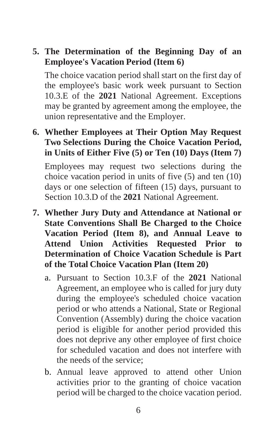**5. The Determination of the Beginning Day of an Employee's Vacation Period (Item 6)**

The choice vacation period shall start on the first day of the employee's basic work week pursuant to Section 10.3.E of the **2021** National Agreement. Exceptions may be granted by agreement among the employee, the union representative and the Employer.

**6. Whether Employees at Their Option May Request Two Selections During the Choice Vacation Period, in Units of Either Five (5) or Ten (10) Days (Item 7)** 

Employees may request two selections during the choice vacation period in units of five (5) and ten (10) days or one selection of fifteen (15) days, pursuant to Section 10.3.D of the **2021** National Agreement.

- **7. Whether Jury Duty and Attendance at National or State Conventions Shall Be Charged to the Choice Vacation Period (Item 8), and Annual Leave to Attend Union Activities Requested Prior to Determination of Choice Vacation Schedule is Part of the Total Choice Vacation Plan (Item 20)**
	- a. Pursuant to Section 10.3.F of the **2021** National Agreement, an employee who is called for jury duty during the employee's scheduled choice vacation period or who attends a National, State or Regional Convention (Assembly) during the choice vacation period is eligible for another period provided this does not deprive any other employee of first choice for scheduled vacation and does not interfere with the needs of the service;
	- b. Annual leave approved to attend other Union activities prior to the granting of choice vacation period will be charged to the choice vacation period.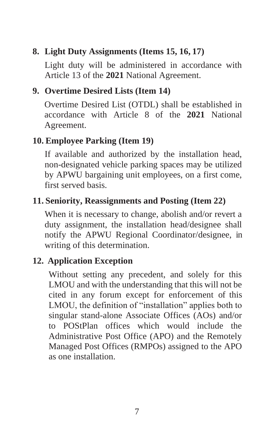# **8. Light Duty Assignments (Items 15, 16, 17)**

Light duty will be administered in accordance with Article 13 of the **2021** National Agreement.

### **9. Overtime Desired Lists (Item 14)**

Overtime Desired List (OTDL) shall be established in accordance with Article 8 of the **2021** National Agreement.

#### **10. Employee Parking (Item 19)**

If available and authorized by the installation head, non-designated vehicle parking spaces may be utilized by APWU bargaining unit employees, on a first come, first served basis.

## **11. Seniority, Reassignments and Posting (Item 22)**

When it is necessary to change, abolish and/or revert a duty assignment, the installation head/designee shall notify the APWU Regional Coordinator/designee, in writing of this determination.

#### **12. Application Exception**

Without setting any precedent, and solely for this LMOU and with the understanding that this will not be cited in any forum except for enforcement of this LMOU, the definition of "installation" applies both to singular stand-alone Associate Offices (AOs) and/or to POStPlan offices which would include the Administrative Post Office (APO) and the Remotely Managed Post Offices (RMPOs) assigned to the APO as one installation.